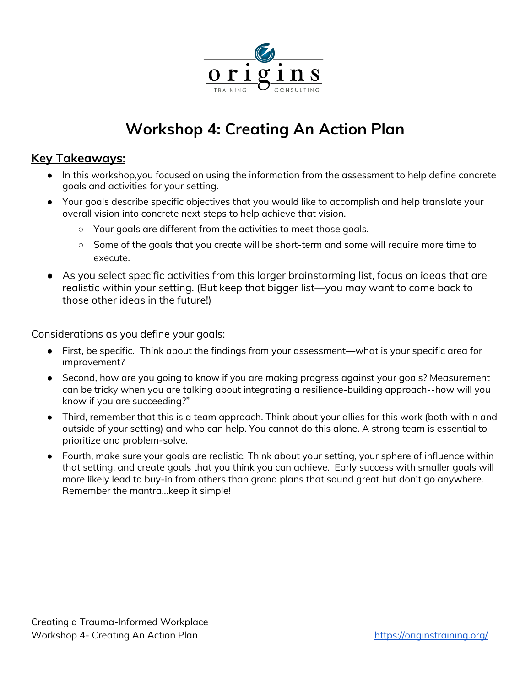

# **Workshop 4: Creating An Action Plan**

### **Key Takeaways:**

- In this workshop,you focused on using the information from the assessment to help define concrete goals and activities for your setting.
- Your goals describe specific objectives that you would like to accomplish and help translate your overall vision into concrete next steps to help achieve that vision.
	- Your goals are different from the activities to meet those goals.
	- Some of the goals that you create will be short-term and some will require more time to execute.
- As you select specific activities from this larger brainstorming list, focus on ideas that are realistic within your setting. (But keep that bigger list—you may want to come back to those other ideas in the future!)

Considerations as you define your goals:

- First, be specific. Think about the findings from your assessment—what is your specific area for improvement?
- Second, how are you going to know if you are making progress against your goals? Measurement can be tricky when you are talking about integrating a resilience-building approach--how will you know if you are succeeding?"
- Third, remember that this is a team approach. Think about your allies for this work (both within and outside of your setting) and who can help. You cannot do this alone. A strong team is essential to prioritize and problem-solve.
- Fourth, make sure your goals are realistic. Think about your setting, your sphere of influence within that setting, and create goals that you think you can achieve. Early success with smaller goals will more likely lead to buy-in from others than grand plans that sound great but don't go anywhere. Remember the mantra...keep it simple!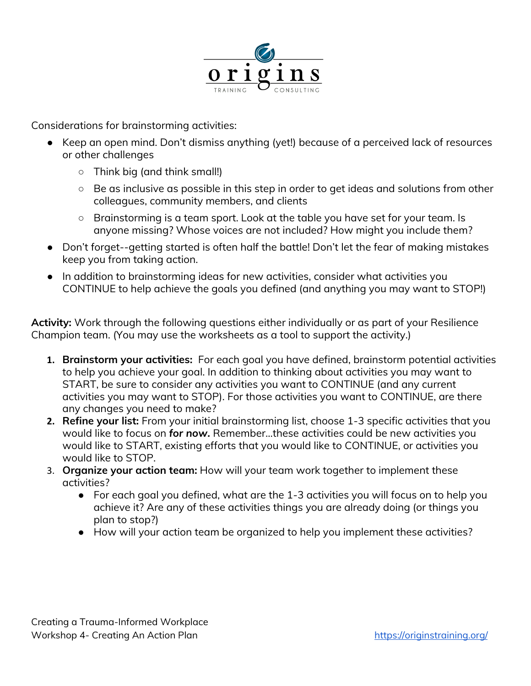

Considerations for brainstorming activities:

- Keep an open mind. Don't dismiss anything (yet!) because of a perceived lack of resources or other challenges
	- Think big (and think small!)
	- Be as inclusive as possible in this step in order to get ideas and solutions from other colleagues, community members, and clients
	- Brainstorming is a team sport. Look at the table you have set for your team. Is anyone missing? Whose voices are not included? How might you include them?
- Don't forget--getting started is often half the battle! Don't let the fear of making mistakes keep you from taking action.
- In addition to brainstorming ideas for new activities, consider what activities you CONTINUE to help achieve the goals you defined (and anything you may want to STOP!)

**Activity:** Work through the following questions either individually or as part of your Resilience Champion team. (You may use the worksheets as a tool to support the activity.)

- **1. Brainstorm your activities:** For each goal you have defined, brainstorm potential activities to help you achieve your goal. In addition to thinking about activities you may want to START, be sure to consider any activities you want to CONTINUE (and any current activities you may want to STOP). For those activities you want to CONTINUE, are there any changes you need to make?
- **2. Refine your list:** From your initial brainstorming list, choose 1-3 specific activities that you would like to focus on *for now.* Remember...these activities could be new activities you would like to START, existing efforts that you would like to CONTINUE, or activities you would like to STOP.
- 3. **Organize your action team:** How will your team work together to implement these activities?
	- For each goal you defined, what are the 1-3 activities you will focus on to help you achieve it? Are any of these activities things you are already doing (or things you plan to stop?)
	- How will your action team be organized to help you implement these activities?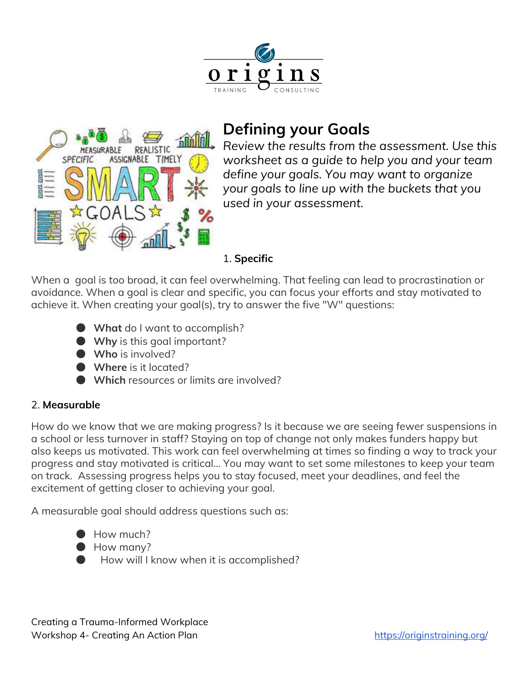

## **Defining your Goals**



*Review the results from the assessment. Use this worksheet as a guide to help you and your team define your goals. You may want to organize your goals to line up with the buckets that you used in your assessment.*

### 1. **Specific**

When a goal is too broad, it can feel overwhelming. That feeling can lead to procrastination or avoidance. When a goal is clear and specific, you can focus your efforts and stay motivated to achieve it. When creating your goal(s), try to answer the five "W" questions:

- **What** do I want to accomplish?
- **Why** is this goal important?
- **Who** is involved?
- **Where** is it located?
- **Which** resources or limits are involved?

### 2. **Measurable**

How do we know that we are making progress? Is it because we are seeing fewer suspensions in a school or less turnover in staff? Staying on top of change not only makes funders happy but also keeps us motivated. This work can feel overwhelming at times so finding a way to track your progress and stay motivated is critical... You may want to set some milestones to keep your team on track. Assessing progress helps you to stay focused, meet your deadlines, and feel the excitement of getting closer to achieving your goal.

A measurable goal should address questions such as:

- How much?
- How many?
- How will I know when it is accomplished?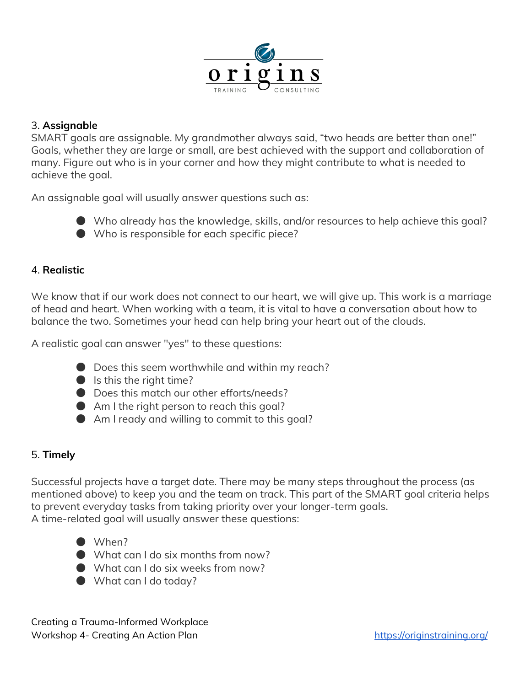

#### 3. **Assignable**

SMART goals are assignable. My grandmother always said, "two heads are better than one!" Goals, whether they are large or small, are best achieved with the support and collaboration of many. Figure out who is in your corner and how they might contribute to what is needed to achieve the goal.

An assignable goal will usually answer questions such as:



● Who is responsible for each specific piece?

#### 4. **Realistic**

We know that if our work does not connect to our heart, we will give up. This work is a marriage of head and heart. When working with a team, it is vital to have a conversation about how to balance the two. Sometimes your head can help bring your heart out of the clouds.

A realistic goal can answer "yes" to these questions:

- Does this seem worthwhile and within my reach?
- $\bullet$  Is this the right time?
- Does this match our other efforts/needs?
- $\bullet$  Am I the right person to reach this goal?
- Am I ready and willing to commit to this goal?

### 5. **Timely**

Successful projects have a target date. There may be many steps throughout the process (as mentioned above) to keep you and the team on track. This part of the SMART goal criteria helps to prevent everyday tasks from taking priority over your longer-term goals. A time-related goal will usually answer these questions:

- When?
- What can I do six months from now?
- What can I do six weeks from now?
- What can I do today?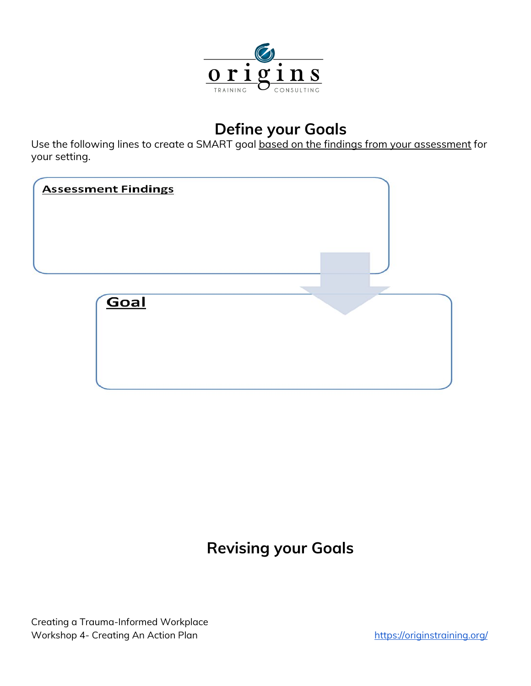

## **Define your Goals**

Use the following lines to create a SMART goal based on the findings from your assessment for your setting.

| <b>Assessment Findings</b> |  |
|----------------------------|--|
|                            |  |
| Goal                       |  |
|                            |  |

## **Revising your Goals**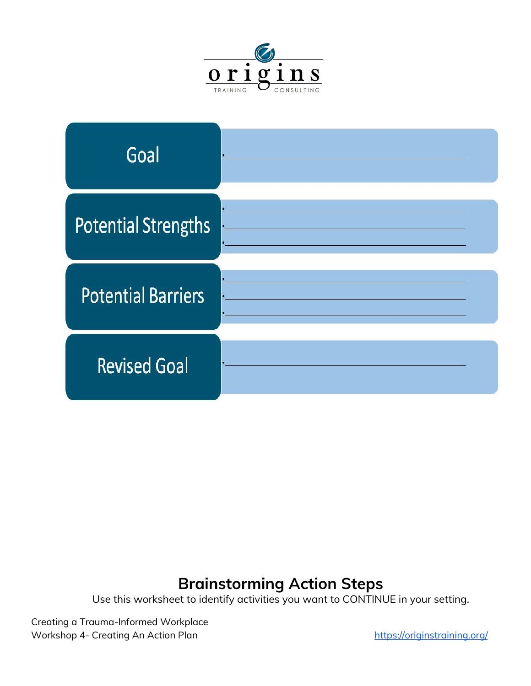



## **Brainstorming Action Steps**

Use this worksheet to identify activities you want to CONTINUE in your setting.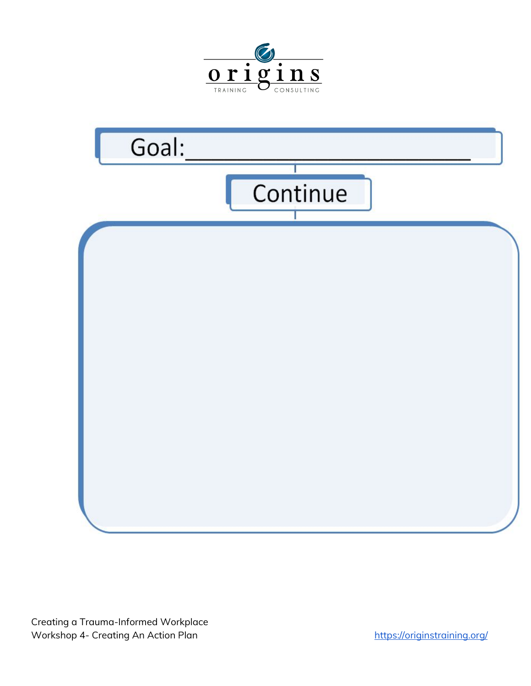

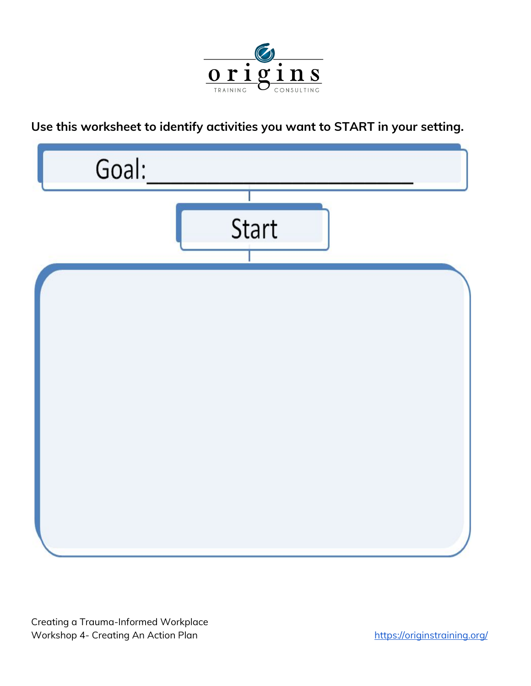

### **Use this worksheet to identify activities you want to START in your setting.**